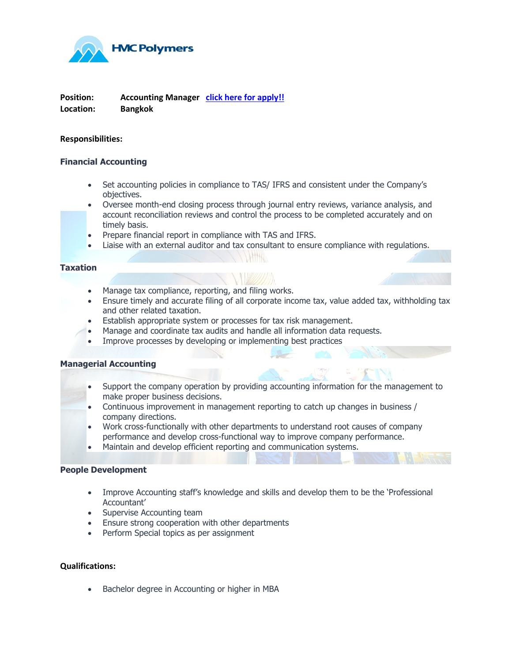

**Position: Accounting Manager [click here for apply!!](https://www.hmccareers.com/login.php) Location: Bangkok**

### **Responsibilities:**

## **Financial Accounting**

- Set accounting policies in compliance to TAS/ IFRS and consistent under the Company's objectives.
- Oversee month-end closing process through journal entry reviews, variance analysis, and account reconciliation reviews and control the process to be completed accurately and on timely basis.
- Prepare financial report in compliance with TAS and IFRS.
- Liaise with an external auditor and tax consultant to ensure compliance with regulations.

## **Taxation**

- Manage tax compliance, reporting, and filing works.
- Ensure timely and accurate filing of all corporate income tax, value added tax, withholding tax and other related taxation.
- Establish appropriate system or processes for tax risk management.
- Manage and coordinate tax audits and handle all information data requests.
- Improve processes by developing or implementing best practices

#### **Managerial Accounting**

- Support the company operation by providing accounting information for the management to make proper business decisions.
- Continuous improvement in management reporting to catch up changes in business / company directions.
- Work cross-functionally with other departments to understand root causes of company performance and develop cross-functional way to improve company performance.
- Maintain and develop efficient reporting and communication systems.

#### **People Development**

- Improve Accounting staff's knowledge and skills and develop them to be the 'Professional Accountant'
- Supervise Accounting team
- Ensure strong cooperation with other departments
- Perform Special topics as per assignment

# **Qualifications:**

Bachelor degree in Accounting or higher in MBA